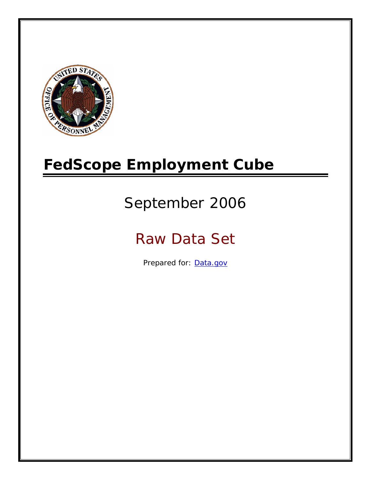

# **FedScope Employment Cube**

# September 2006

# Raw Data Set

Prepared for: [Data.gov](http://www.data.gov/)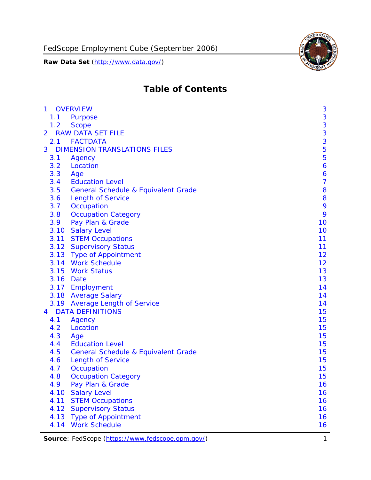

# **Table of Contents**

| $\mathbf{1}$ | <b>OVERVIEW</b>                                | 3              |
|--------------|------------------------------------------------|----------------|
| 1.1          | Purpose                                        | 3              |
| 1.2          | <b>Scope</b>                                   | 3              |
| 2            | <b>RAW DATA SET FILE</b>                       | 3              |
| 2.1          | <b>FACTDATA</b>                                | 3              |
| 3            | <b>DIMENSION TRANSLATIONS FILES</b>            | 5              |
| 3.1          | Agency                                         | 5              |
| 3.2          | Location                                       | 6              |
| 3.3          | Age                                            | 6              |
| 3.4          | <b>Education Level</b>                         | $\overline{7}$ |
| 3.5          | <b>General Schedule &amp; Equivalent Grade</b> | 8              |
| 3.6          | <b>Length of Service</b>                       | 8              |
| 3.7          | Occupation                                     | 9              |
| 3.8          | <b>Occupation Category</b>                     | 9              |
| 3.9          | Pay Plan & Grade                               | 10             |
| 3.10         | <b>Salary Level</b>                            | 10             |
|              | 3.11 STEM Occupations                          | 11             |
|              | 3.12 Supervisory Status                        | 11             |
|              | 3.13 Type of Appointment                       | 12             |
|              | 3.14 Work Schedule                             | 12             |
| 3.15         | <b>Work Status</b>                             | 13             |
|              | 3.16 Date                                      | 13             |
|              | 3.17 Employment                                | 14             |
|              | 3.18 Average Salary                            | 14             |
|              | 3.19 Average Length of Service                 | 14             |
| 4            | <b>DATA DEFINITIONS</b>                        | 15             |
| 4.1          | Agency                                         | 15             |
| 4.2          | Location                                       | 15             |
| 4.3          | Age                                            | 15             |
| 4.4          | <b>Education Level</b>                         | 15             |
| 4.5          | <b>General Schedule &amp; Equivalent Grade</b> | 15             |
| 4.6          | <b>Length of Service</b>                       | 15             |
| 4.7          | Occupation                                     | 15             |
| 4.8          | <b>Occupation Category</b>                     | 15             |
| 4.9          | Pay Plan & Grade                               | 16             |
| 4.10         | <b>Salary Level</b>                            | 16             |
| 4.11         | <b>STEM Occupations</b>                        | 16             |
| 4.12         | <b>Supervisory Status</b>                      | 16             |
| 4.13         | <b>Type of Appointment</b>                     | 16             |
| 4.14         | <b>Work Schedule</b>                           | 16             |

**Source**: FedScope (https://www.fedscope.opm.gov/) 1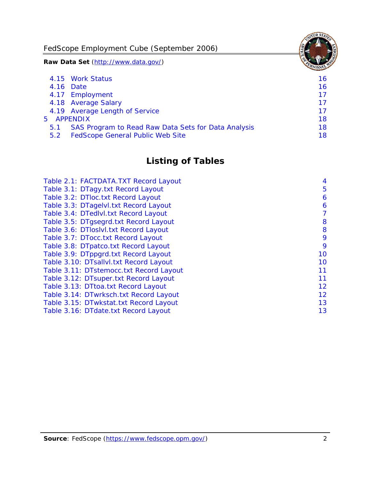FedScope Employment Cube (September 2006)

**Raw Data Set** (http://www.data.gov/)

|               | 4.15 Work Status                                    | 16 |
|---------------|-----------------------------------------------------|----|
|               | 4.16 Date                                           | 16 |
|               | 4.17 Employment                                     | 17 |
|               | 4.18 Average Salary                                 | 17 |
|               | 4.19 Average Length of Service                      | 17 |
|               | 5 APPENDIX                                          | 18 |
| 5.1           | SAS Program to Read Raw Data Sets for Data Analysis | 18 |
| $5.2^{\circ}$ | <b>FedScope General Public Web Site</b>             | 18 |

# **Listing of Tables**

| Table 2.1: FACTDATA.TXT Record Layout   | 4  |
|-----------------------------------------|----|
| Table 3.1: DTagy.txt Record Layout      | 5  |
| Table 3.2: DTloc.txt Record Layout      | 6  |
| Table 3.3: DTagelvl.txt Record Layout   | 6  |
| Table 3.4: DTedlvl.txt Record Layout    | 7  |
| Table 3.5: DTgsegrd.txt Record Layout   | 8  |
| Table 3.6: DTIoslyl.txt Record Layout   | 8  |
| Table 3.7: DTocc.txt Record Layout      | 9  |
| Table 3.8: DTpatco.txt Record Layout    | 9  |
| Table 3.9: DTppgrd.txt Record Layout    | 10 |
| Table 3.10: DTsallvl.txt Record Layout  | 10 |
| Table 3.11: DTstemocc.txt Record Layout | 11 |
| Table 3.12: DTsuper.txt Record Layout   | 11 |
| Table 3.13: DTtoa.txt Record Layout     | 12 |
| Table 3.14: DTwrksch.txt Record Layout  | 12 |
| Table 3.15: DTwkstat.txt Record Layout  | 13 |
| Table 3.16: DTdate.txt Record Layout    | 13 |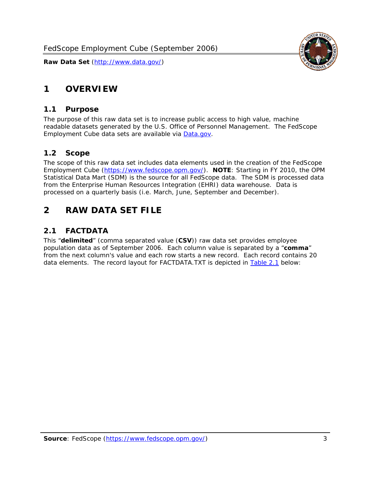<span id="page-3-0"></span>

#### *1.1 Purpose*

<span id="page-3-1"></span>The purpose of this raw data set is to increase public access to high value, machine readable datasets generated by the U.S. Office of Personnel Management. The FedScope Employment Cube data sets are available via [Data.gov](http://www.data.gov/).

## <span id="page-3-2"></span>*1.2 Scope*

The scope of this raw data set includes data elements used in the creation of the FedScope Employment Cube [\(https://www.fedscope.opm.gov/\)](https://www.fedscope.opm.gov/). **NOTE**: Starting in FY 2010, the OPM Statistical Data Mart (SDM) is the source for all FedScope data. The SDM is processed data from the Enterprise Human Resources Integration (EHRI) data warehouse. Data is processed on a quarterly basis (i.e. March, June, September and December).

# <span id="page-3-3"></span>**2 RAW DATA SET FILE**

# <span id="page-3-4"></span>*2.1 FACTDATA*

This "**delimited**" (comma separated value (**CSV**)) raw data set provides employee population data as of September 2006. Each column value is separated by a "**comma**" from the next column's value and each row starts a new record. Each record contains 20 data elements. The record layout for FACTDATA.TXT is depicted in [Table 2.1](#page-4-1) below:

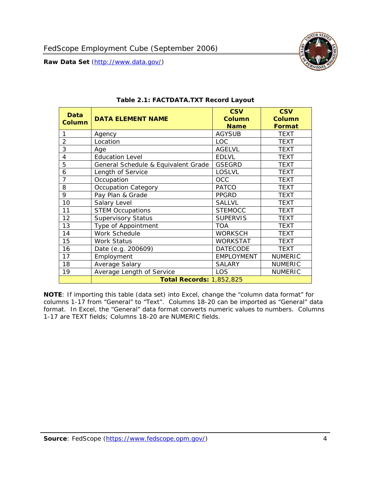<span id="page-4-1"></span><span id="page-4-0"></span>

**NOTE**: If importing this table (data set) into Excel, change the "column data format" for columns 1-17 from "General" to "Text". Columns 18-20 can be imported as "General" data format. In Excel, the "General" data format converts numeric values to numbers. Columns 1-17 are TEXT fields; Columns 18-20 are NUMERIC fields.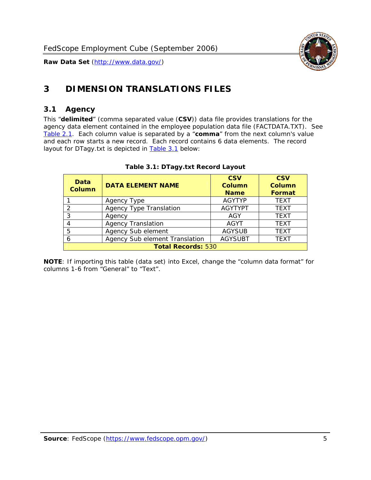

# <span id="page-5-0"></span>**3 DIMENSION TRANSLATIONS FILES**

#### <span id="page-5-1"></span>*3.1 Agency*

<span id="page-5-3"></span><span id="page-5-2"></span>This "**delimited**" (comma separated value (**CSV**)) data file provides translations for the agency data element contained in the employee population data file (FACTDATA.TXT). See [Table 2.1.](#page-4-1) Each column value is separated by a "**comma**" from the next column's value and each row starts a new record. Each record contains 6 data elements. The record layout for DTagy.txt is depicted in [Table 3.1](#page-5-3) below:

| Data<br>Column            | <b>DATA ELEMENT NAME</b>       | <b>CSV</b><br><b>Column</b><br><b>Name</b> | <b>CSV</b><br>Column<br><b>Format</b> |  |
|---------------------------|--------------------------------|--------------------------------------------|---------------------------------------|--|
|                           | Agency Type                    | <b>AGYTYP</b>                              | <b>TEXT</b>                           |  |
| 2                         | <b>Agency Type Translation</b> | <b>AGYTYPT</b>                             | <b>TEXT</b>                           |  |
| 3                         | Agency                         | AGY                                        | <b>TEXT</b>                           |  |
| 4                         | <b>Agency Translation</b>      | <b>AGYT</b>                                | <b>TEXT</b>                           |  |
| 5                         | Agency Sub element             | <b>AGYSUB</b>                              | <b>TEXT</b>                           |  |
| 6                         | Agency Sub element Translation | <b>AGYSUBT</b>                             | <b>TEXT</b>                           |  |
| <b>Total Records: 530</b> |                                |                                            |                                       |  |

#### **Table 3.1: DTagy.txt Record Layout**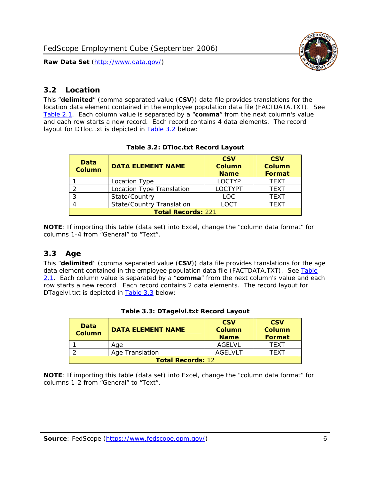

#### <span id="page-6-0"></span>*3.2 Location*

<span id="page-6-4"></span><span id="page-6-2"></span>This "**delimited**" (comma separated value (**CSV**)) data file provides translations for the location data element contained in the employee population data file (FACTDATA.TXT). See [Table 2.1.](#page-4-1) Each column value is separated by a "**comma**" from the next column's value and each row starts a new record. Each record contains 4 data elements. The record layout for DTloc.txt is depicted in [Table 3.2](#page-6-4) below:

| Data<br><b>Column</b>     | <b>DATA ELEMENT NAME</b>         | <b>CSV</b><br>Column<br><b>Name</b> | <b>CSV</b><br><b>Column</b><br><b>Format</b> |  |  |
|---------------------------|----------------------------------|-------------------------------------|----------------------------------------------|--|--|
|                           | Location Type                    | <b>LOCTYP</b>                       | <b>TEXT</b>                                  |  |  |
|                           | Location Type Translation        | <b>LOCTYPT</b>                      | <b>TEXT</b>                                  |  |  |
| ົ                         | State/Country                    | <b>LOC</b>                          | <b>TFXT</b>                                  |  |  |
|                           | <b>State/Country Translation</b> | LOCT                                | <b>TFXT</b>                                  |  |  |
| <b>Total Records: 221</b> |                                  |                                     |                                              |  |  |

#### **Table 3.2: DTloc.txt Record Layout**

**NOTE**: If importing this table (data set) into Excel, change the "column data format" for columns 1-4 from "General" to "Text".

#### <span id="page-6-1"></span>*3.3 Age*

<span id="page-6-5"></span><span id="page-6-3"></span>This "**delimited**" (comma separated value (**CSV**)) data file provides translations for the age data element contained in the employee population data file (FACTDATA.TXT). See [Table](#page-4-1) [2.1](#page-4-1). Each column value is separated by a "**comma**" from the next column's value and each row starts a new record. Each record contains 2 data elements. The record layout for DTagelvl.txt is depicted in [Table 3.3](#page-6-5) below:

| Data<br>Column           | <b>DATA ELEMENT NAME</b> | <b>CSV</b><br>Column<br><b>Name</b> | <b>CSV</b><br>Column<br>Format |  |
|--------------------------|--------------------------|-------------------------------------|--------------------------------|--|
|                          | Aae                      | AGELVL                              | TFXT                           |  |
|                          | Age Translation          | AGFI VI T                           | TFXT                           |  |
| <b>Total Records: 12</b> |                          |                                     |                                |  |

|  |  | Table 3.3: DTagelvl.txt Record Layout |  |
|--|--|---------------------------------------|--|
|  |  |                                       |  |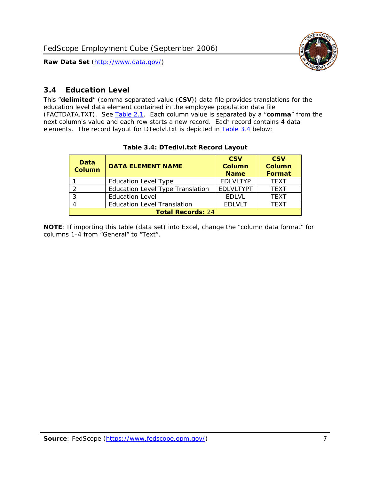

### <span id="page-7-0"></span>*3.4 Education Level*

<span id="page-7-2"></span><span id="page-7-1"></span>This "**delimited**" (comma separated value (**CSV**)) data file provides translations for the education level data element contained in the employee population data file (FACTDATA.TXT). See [Table 2.1](#page-4-1). Each column value is separated by a "**comma**" from the next column's value and each row starts a new record. Each record contains 4 data elements. The record layout for DTedlvl.txt is depicted in [Table 3.4](#page-7-2) below:

| Data<br><b>Column</b>    | <b>DATA ELEMENT NAME</b>                | <b>CSV</b><br><b>Column</b><br><b>Name</b> | <b>CSV</b><br><b>Column</b><br><b>Format</b> |  |  |
|--------------------------|-----------------------------------------|--------------------------------------------|----------------------------------------------|--|--|
|                          | <b>Education Level Type</b>             | <b>EDLVLTYP</b>                            | <b>TEXT</b>                                  |  |  |
|                          | <b>Education Level Type Translation</b> | <b>EDLVLTYPT</b>                           | <b>TEXT</b>                                  |  |  |
|                          | <b>Education Level</b>                  | <b>EDLVL</b>                               | <b>TEXT</b>                                  |  |  |
|                          | <b>Education Level Translation</b>      | <b>EDLVLT</b>                              | <b>TEXT</b>                                  |  |  |
| <b>Total Records: 24</b> |                                         |                                            |                                              |  |  |

#### **Table 3.4: DTedlvl.txt Record Layout**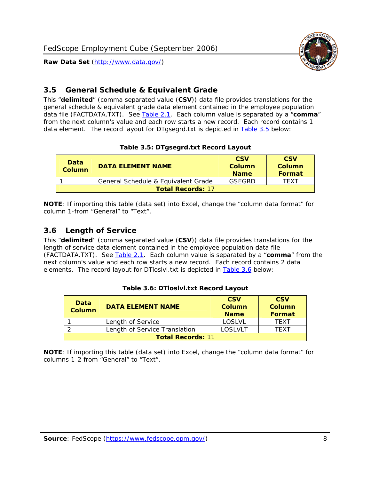<span id="page-8-0"></span>

This "**delimited**" (comma separated value (**CSV**)) data file provides translations for the general schedule & equivalent grade data element contained in the employee population data file (FACTDATA.TXT). See [Table 2.1](#page-4-1). Each column value is separated by a "**comma**" from the next column's value and each row starts a new record. Each record contains 1 data element. The record layout for DTgsegrd.txt is depicted in [Table 3.5](#page-8-4) below:

#### **Table 3.5: DTgsegrd.txt Record Layout**

<span id="page-8-4"></span><span id="page-8-2"></span>

| Data<br>Column | <b>DATA ELEMENT NAME</b>            |        | <b>CSV</b><br>Column<br><b>Format</b> |  |  |  |
|----------------|-------------------------------------|--------|---------------------------------------|--|--|--|
|                | General Schedule & Equivalent Grade | GSFGRD | <b>TFXT</b>                           |  |  |  |
|                | <b>Total Records: 17</b>            |        |                                       |  |  |  |

**NOTE**: If importing this table (data set) into Excel, change the "column data format" for column 1-from "General" to "Text".

#### <span id="page-8-1"></span>*3.6 Length of Service*

<span id="page-8-5"></span>This "**delimited**" (comma separated value (**CSV**)) data file provides translations for the length of service data element contained in the employee population data file (FACTDATA.TXT). See [Table 2.1](#page-4-1). Each column value is separated by a "**comma**" from the next column's value and each row starts a new record. Each record contains 2 data elements. The record layout for DTloslvl.txt is depicted in [Table 3.6](#page-8-5) below:

<span id="page-8-3"></span>

| Data<br><b>Column</b>    | <b>DATA ELEMENT NAME</b>      | <b>CSV</b><br><b>Column</b><br><b>Name</b> | <b>CSV</b><br>Column<br>Format |  |  |
|--------------------------|-------------------------------|--------------------------------------------|--------------------------------|--|--|
|                          | Length of Service             | LOSLVL                                     | TFXT                           |  |  |
|                          | Length of Service Translation | LOSI VLT                                   | TFXT                           |  |  |
| <b>Total Records: 11</b> |                               |                                            |                                |  |  |

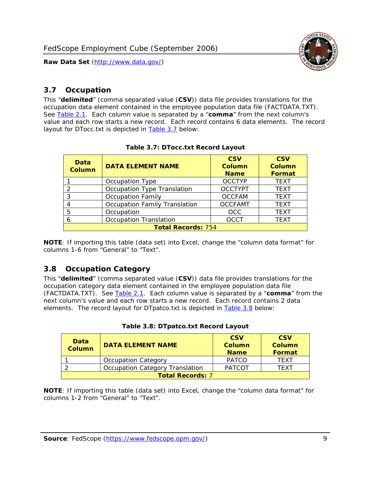

#### <span id="page-9-0"></span>*3.7 Occupation*

<span id="page-9-4"></span>This "**delimited**" (comma separated value (**CSV**)) data file provides translations for the occupation data element contained in the employee population data file (FACTDATA.TXT). See [Table 2.1](#page-4-1). Each column value is separated by a "**comma**" from the next column's value and each row starts a new record. Each record contains 6 data elements. The record layout for DTocc.txt is depicted in [Table 3.7](#page-9-4) below:

<span id="page-9-2"></span>

| Data<br><b>Column</b>     | <b>DATA ELEMENT NAME</b>             | <b>CSV</b><br>Column<br><b>Name</b> | <b>CSV</b><br>Column<br><b>Format</b> |  |  |
|---------------------------|--------------------------------------|-------------------------------------|---------------------------------------|--|--|
|                           | Occupation Type                      | <b>OCCTYP</b>                       | <b>TEXT</b>                           |  |  |
|                           | Occupation Type Translation          | <b>OCCTYPT</b>                      | <b>TEXT</b>                           |  |  |
| ર                         | <b>Occupation Family</b>             | <b>OCCFAM</b>                       | <b>TEXT</b>                           |  |  |
|                           | <b>Occupation Family Translation</b> | <b>OCCFAMT</b>                      | <b>TEXT</b>                           |  |  |
| 5                         | Occupation                           | <b>OCC</b>                          | <b>TEXT</b>                           |  |  |
|                           | <b>Occupation Translation</b>        | <b>OCCT</b>                         | <b>TEXT</b>                           |  |  |
| <b>Total Records: 754</b> |                                      |                                     |                                       |  |  |

#### **Table 3.7: DTocc.txt Record Layout**

**NOTE**: If importing this table (data set) into Excel, change the "column data format" for columns 1-6 from "General" to "Text".

#### <span id="page-9-1"></span>*3.8 Occupation Category*

<span id="page-9-5"></span>This "**delimited**" (comma separated value (**CSV**)) data file provides translations for the occupation category data element contained in the employee population data file (FACTDATA.TXT). See [Table 2.1](#page-4-1). Each column value is separated by a "**comma**" from the next column's value and each row starts a new record. Each record contains 2 data elements. The record layout for DTpatco.txt is depicted in [Table 3.8](#page-9-5) below:

<span id="page-9-3"></span>

| Data<br><b>Column</b>   | <b>DATA ELEMENT NAME</b>        | <b>CSV</b><br>Column<br><b>Name</b> | <b>CSV</b><br>Column<br>Format |  |
|-------------------------|---------------------------------|-------------------------------------|--------------------------------|--|
|                         | <b>Occupation Category</b>      | <b>PATCO</b>                        | <b>TFXT</b>                    |  |
|                         | Occupation Category Translation | <b>PATCOT</b>                       | TFXT                           |  |
| <b>Total Records: 7</b> |                                 |                                     |                                |  |

|  |  | Table 3.8: DTpatco.txt Record Layout |  |  |
|--|--|--------------------------------------|--|--|
|--|--|--------------------------------------|--|--|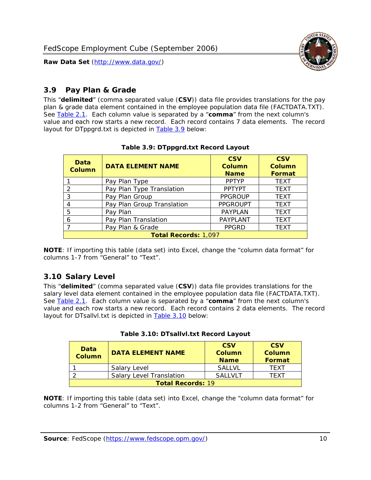

### <span id="page-10-0"></span>*3.9 Pay Plan & Grade*

<span id="page-10-4"></span>This "**delimited**" (comma separated value (**CSV**)) data file provides translations for the pay plan & grade data element contained in the employee population data file (FACTDATA.TXT). See [Table 2.1](#page-4-1). Each column value is separated by a "**comma**" from the next column's value and each row starts a new record. Each record contains 7 data elements. The record layout for DTppgrd.txt is depicted in **Table 3.9** below:

<span id="page-10-2"></span>

| Data<br>Column | <b>DATA ELEMENT NAME</b>    | <b>CSV</b><br>Column<br><b>Name</b> | <b>CSV</b><br><b>Column</b><br><b>Format</b> |  |  |
|----------------|-----------------------------|-------------------------------------|----------------------------------------------|--|--|
|                | Pay Plan Type               | <b>PPTYP</b>                        | <b>TEXT</b>                                  |  |  |
| $\mathcal{P}$  | Pay Plan Type Translation   | <b>PPTYPT</b>                       | <b>TEXT</b>                                  |  |  |
| 3              | Pay Plan Group              | <b>PPGROUP</b>                      | <b>TEXT</b>                                  |  |  |
| 4              | Pay Plan Group Translation  | <b>PPGROUPT</b>                     | <b>TEXT</b>                                  |  |  |
| 5              | Pay Plan                    | <b>PAYPLAN</b>                      | <b>TEXT</b>                                  |  |  |
| 6              | Pay Plan Translation        | PAYPLANT                            | <b>TEXT</b>                                  |  |  |
|                | Pay Plan & Grade            | <b>PPGRD</b>                        | <b>TEXT</b>                                  |  |  |
|                | <b>Total Records: 1,097</b> |                                     |                                              |  |  |

#### **Table 3.9: DTppgrd.txt Record Layout**

**NOTE**: If importing this table (data set) into Excel, change the "column data format" for columns 1-7 from "General" to "Text".

## <span id="page-10-1"></span>*3.10 Salary Level*

<span id="page-10-5"></span><span id="page-10-3"></span>This "**delimited**" (comma separated value (**CSV**)) data file provides translations for the salary level data element contained in the employee population data file (FACTDATA.TXT). See [Table 2.1](#page-4-1). Each column value is separated by a "**comma**" from the next column's value and each row starts a new record. Each record contains 2 data elements. The record layout for DTsallvl.txt is depicted in [Table 3.10](#page-10-5) below:

| <b>Data</b><br>Column    | <b>DATA ELEMENT NAME</b>        | <b>CSV</b><br>Column<br><b>Name</b> | <b>CSV</b><br>Column<br><b>Format</b> |
|--------------------------|---------------------------------|-------------------------------------|---------------------------------------|
|                          | Salary Level                    | <b>SALLVL</b>                       | TFXT                                  |
|                          | <b>Salary Level Translation</b> | SAI I VI T                          | TEXT                                  |
| <b>Total Records: 19</b> |                                 |                                     |                                       |

| Table 3.10: DTsallvl.txt Record Layout |  |
|----------------------------------------|--|
|----------------------------------------|--|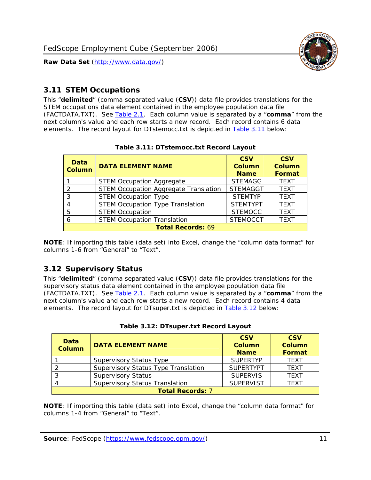

#### <span id="page-11-0"></span>*3.11 STEM Occupations*

<span id="page-11-4"></span>This "**delimited**" (comma separated value (**CSV**)) data file provides translations for the STEM occupations data element contained in the employee population data file (FACTDATA.TXT). See [Table 2.1](#page-4-1). Each column value is separated by a "**comma**" from the next column's value and each row starts a new record. Each record contains 6 data elements. The record layout for DTstemocc.txt is depicted in [Table 3.11](#page-11-4) below:

<span id="page-11-2"></span>

| <b>Data</b><br><b>Column</b> | <b>DATA ELEMENT NAME</b>                     | <b>CSV</b><br>Column<br><b>Name</b> | <b>CSV</b><br><b>Column</b><br><b>Format</b> |
|------------------------------|----------------------------------------------|-------------------------------------|----------------------------------------------|
|                              | <b>STEM Occupation Aggregate</b>             | <b>STEMAGG</b>                      | <b>TEXT</b>                                  |
|                              | <b>STEM Occupation Aggregate Translation</b> | <b>STEMAGGT</b>                     | <b>TEXT</b>                                  |
| 3                            | <b>STEM Occupation Type</b>                  | <b>STEMTYP</b>                      | <b>TEXT</b>                                  |
|                              | <b>STEM Occupation Type Translation</b>      | <b>STEMTYPT</b>                     | <b>TEXT</b>                                  |
| 5                            | <b>STEM Occupation</b>                       | <b>STEMOCC</b>                      | <b>TEXT</b>                                  |
|                              | <b>STEM Occupation Translation</b>           | <b>STEMOCCT</b>                     | <b>TEXT</b>                                  |
|                              | <b>Total Records: 69</b>                     |                                     |                                              |

#### **Table 3.11: DTstemocc.txt Record Layout**

**NOTE**: If importing this table (data set) into Excel, change the "column data format" for columns 1-6 from "General" to "Text".

# <span id="page-11-1"></span>*3.12 Supervisory Status*

This "**delimited**" (comma separated value (**CSV**)) data file provides translations for the supervisory status data element contained in the employee population data file (FACTDATA.TXT). See [Table 2.1](#page-4-1). Each column value is separated by a "**comma**" from the next column's value and each row starts a new record. Each record contains 4 data elements. The record layout for DTsuper.txt is depicted in [Table 3.12](#page-11-5) below:

<span id="page-11-5"></span><span id="page-11-3"></span>

| Data<br><b>Column</b> | <b>DATA ELEMENT NAME</b>              | <b>CSV</b><br>Column<br><b>Name</b> | <b>CSV</b><br>Column<br>Format |
|-----------------------|---------------------------------------|-------------------------------------|--------------------------------|
|                       | <b>Supervisory Status Type</b>        | <b>SUPFRTYP</b>                     | <b>TEXT</b>                    |
|                       | Supervisory Status Type Translation   | <b>SUPERTYPT</b>                    | <b>TEXT</b>                    |
|                       | <b>Supervisory Status</b>             | <b>SUPERVIS</b>                     | <b>TEXT</b>                    |
|                       | <b>Supervisory Status Translation</b> | <b>SUPERVIST</b>                    | <b>TEXT</b>                    |
|                       | <b>Total Records: 7</b>               |                                     |                                |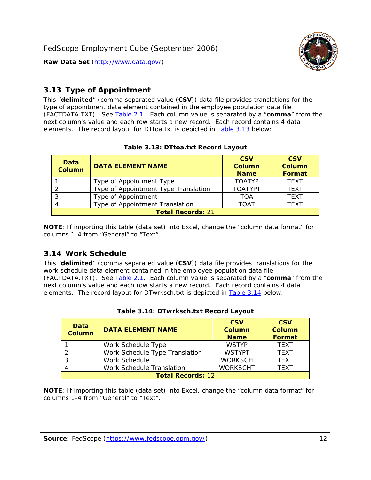

### <span id="page-12-0"></span>*3.13 Type of Appointment*

This "**delimited**" (comma separated value (**CSV**)) data file provides translations for the type of appointment data element contained in the employee population data file (FACTDATA.TXT). See [Table 2.1](#page-4-1). Each column value is separated by a "**comma**" from the next column's value and each row starts a new record. Each record contains 4 data elements. The record layout for DTtoa.txt is depicted in [Table 3.13](#page-12-4) below:

<span id="page-12-4"></span><span id="page-12-2"></span>

| Data<br><b>Column</b> | <b>DATA ELEMENT NAME</b>             | <b>CSV</b><br><b>Column</b><br><b>Name</b> | <b>CSV</b><br><b>Column</b><br><b>Format</b> |
|-----------------------|--------------------------------------|--------------------------------------------|----------------------------------------------|
|                       | Type of Appointment Type             | <b>TOATYP</b>                              | <b>TFXT</b>                                  |
|                       | Type of Appointment Type Translation | <b>TOATYPT</b>                             | <b>TEXT</b>                                  |
|                       | Type of Appointment                  | <b>TOA</b>                                 | <b>TEXT</b>                                  |
|                       | Type of Appointment Translation      | <b>TOAT</b>                                | <b>TFXT</b>                                  |
|                       | <b>Total Records: 21</b>             |                                            |                                              |

#### **Table 3.13: DTtoa.txt Record Layout**

**NOTE**: If importing this table (data set) into Excel, change the "column data format" for columns 1-4 from "General" to "Text".

#### <span id="page-12-1"></span>*3.14 Work Schedule*

<span id="page-12-5"></span>This "**delimited**" (comma separated value (**CSV**)) data file provides translations for the work schedule data element contained in the employee population data file (FACTDATA.TXT). See [Table 2.1](#page-4-1). Each column value is separated by a "**comma**" from the next column's value and each row starts a new record. Each record contains 4 data elements. The record layout for DTwrksch.txt is depicted in [Table 3.14](#page-12-5) below:

<span id="page-12-3"></span>

| Data<br><b>Column</b>    | <b>DATA ELEMENT NAME</b>       | <b>CSV</b><br>Column<br><b>Name</b> | <b>CSV</b><br><b>Column</b><br><b>Format</b> |  |
|--------------------------|--------------------------------|-------------------------------------|----------------------------------------------|--|
|                          | Work Schedule Type             | <b>WSTYP</b>                        | <b>TEXT</b>                                  |  |
|                          | Work Schedule Type Translation | <b>WSTYPT</b>                       | <b>TFXT</b>                                  |  |
| 3                        | Work Schedule                  | <b>WORKSCH</b>                      | <b>TFXT</b>                                  |  |
|                          | Work Schedule Translation      | <b>WORKSCHT</b>                     | <b>TFXT</b>                                  |  |
| <b>Total Records: 12</b> |                                |                                     |                                              |  |

|  | Table 3.14: DTwrksch.txt Record Layout |  |
|--|----------------------------------------|--|
|  |                                        |  |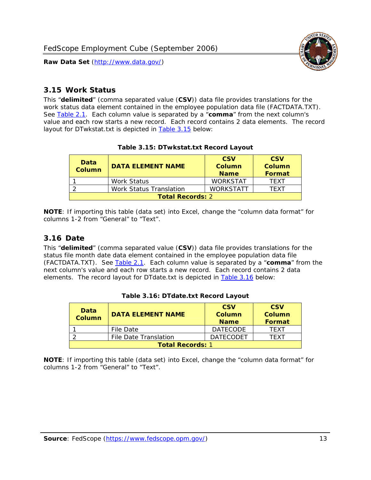

#### <span id="page-13-0"></span>*3.15 Work Status*

<span id="page-13-4"></span><span id="page-13-2"></span>This "**delimited**" (comma separated value (**CSV**)) data file provides translations for the work status data element contained in the employee population data file (FACTDATA.TXT). See [Table 2.1](#page-4-1). Each column value is separated by a "**comma**" from the next column's value and each row starts a new record. Each record contains 2 data elements. The record layout for DTwkstat.txt is depicted in [Table 3.15](#page-13-4) below:

| Data<br><b>Column</b>   | <b>DATA ELEMENT NAME</b>       | <b>CSV</b><br>Column<br><b>Name</b> | <b>CSV</b><br>Column<br><b>Format</b> |
|-------------------------|--------------------------------|-------------------------------------|---------------------------------------|
|                         | <b>Work Status</b>             | <b>WORKSTAT</b>                     | TFXT                                  |
|                         | <b>Work Status Translation</b> | <b>WORKSTATT</b>                    | TFXT                                  |
| <b>Total Records: 2</b> |                                |                                     |                                       |

#### **Table 3.15: DTwkstat.txt Record Layout**

**NOTE**: If importing this table (data set) into Excel, change the "column data format" for columns 1-2 from "General" to "Text".

#### <span id="page-13-1"></span>*3.16 Date*

<span id="page-13-5"></span><span id="page-13-3"></span>This "**delimited**" (comma separated value (**CSV**)) data file provides translations for the status file month date data element contained in the employee population data file (FACTDATA.TXT). See [Table 2.1](#page-4-1). Each column value is separated by a "**comma**" from the next column's value and each row starts a new record. Each record contains 2 data elements. The record layout for DTdate.txt is depicted in [Table 3.16](#page-13-5) below:

| Data<br><b>Column</b>   | <b>DATA ELEMENT NAME</b> | <b>CSV</b><br><b>Column</b><br><b>Name</b> | <b>CSV</b><br>Column<br>Format |
|-------------------------|--------------------------|--------------------------------------------|--------------------------------|
|                         | File Date                | <b>DATECODE</b>                            | TFXT                           |
|                         | File Date Translation    | <b>DATECODET</b>                           | TFXT                           |
| <b>Total Records: 1</b> |                          |                                            |                                |

**Table 3.16: DTdate.txt Record Layout**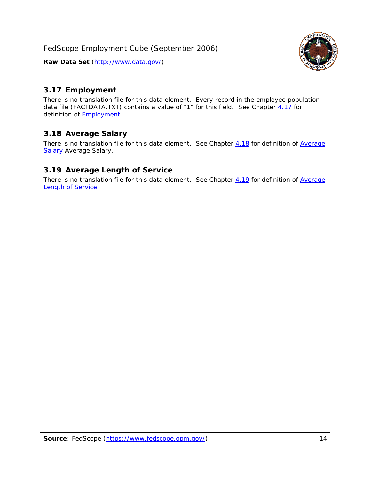

## <span id="page-14-0"></span>*3.17 Employment*

There is no translation file for this data element. Every record in the employee population data file (FACTDATA.TXT) contains a value of "1" for this field. See Chapter [4.17](#page-16-8) for definition of **Employment**.

#### <span id="page-14-1"></span>*3.18 Average Salary*

There is no translation file for this data element. See Chapter [4.18](#page-17-1) for definition of [Average](#page-17-1) **[Salary](#page-17-1) [Average Salary.](#page-17-1)** 

#### <span id="page-14-2"></span>*3.19 Average Length of Service*

There is no translation file for this data element. See Chapter [4.19](#page-17-2) for definition of [Average](#page-17-2) Length of Service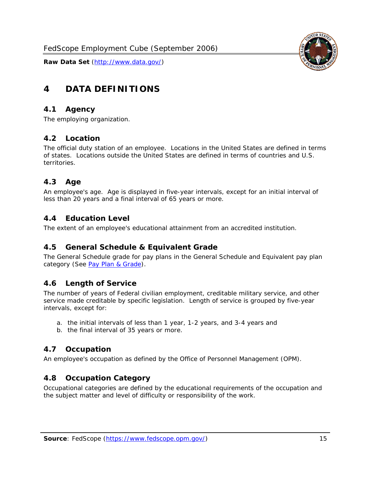

# <span id="page-15-0"></span>**4 DATA DEFINITIONS**

#### <span id="page-15-1"></span>*4.1 Agency*

The employing organization.

#### <span id="page-15-2"></span>*4.2 Location*

The official duty station of an employee. Locations in the United States are defined in terms of states. Locations outside the United States are defined in terms of countries and U.S. territories.

#### <span id="page-15-3"></span>*4.3 Age*

An employee's age. Age is displayed in five-year intervals, except for an initial interval of less than 20 years and a final interval of 65 years or more.

#### <span id="page-15-4"></span>*4.4 Education Level*

The extent of an employee's educational attainment from an accredited institution.

#### <span id="page-15-5"></span>*4.5 General Schedule & Equivalent Grade*

The General Schedule grade for pay plans in the General Schedule and Equivalent pay plan category (See [Pay Plan & Grade](#page-16-0)).

#### <span id="page-15-6"></span>*4.6 Length of Service*

The number of years of Federal civilian employment, creditable military service, and other service made creditable by specific legislation. Length of service is grouped by five-year intervals, except for:

- a. the initial intervals of less than 1 year, 1-2 years, and 3-4 years and
- b. the final interval of 35 years or more.

#### <span id="page-15-7"></span>*4.7 Occupation*

An employee's occupation as defined by the Office of Personnel Management (OPM).

#### <span id="page-15-8"></span>*4.8 Occupation Category*

Occupational categories are defined by the educational requirements of the occupation and the subject matter and level of difficulty or responsibility of the work.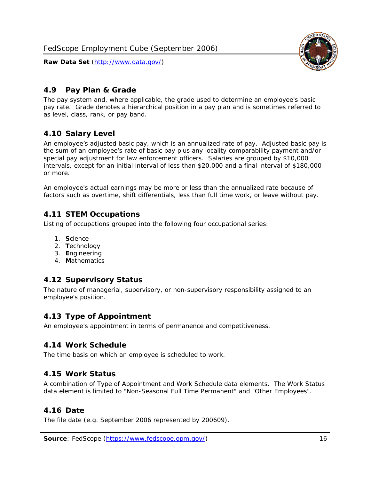<span id="page-16-0"></span>

The pay system and, where applicable, the grade used to determine an employee's basic pay rate. Grade denotes a hierarchical position in a pay plan and is sometimes referred to as level, class, rank, or pay band.

# <span id="page-16-1"></span>*4.10 Salary Level*

An employee's adjusted basic pay, which is an annualized rate of pay. Adjusted basic pay is the sum of an employee's rate of basic pay plus any locality comparability payment and/or special pay adjustment for law enforcement officers. Salaries are grouped by \$10,000 intervals, except for an initial interval of less than \$20,000 and a final interval of \$180,000 or more.

An employee's actual earnings may be more or less than the annualized rate because of factors such as overtime, shift differentials, less than full time work, or leave without pay.

## <span id="page-16-2"></span>*4.11 STEM Occupations*

Listing of occupations grouped into the following four occupational series:

- 1. **S**cience
- 2. **T**echnology
- 3. **E**ngineering
- 4. **M**athematics

#### <span id="page-16-3"></span>*4.12 Supervisory Status*

The nature of managerial, supervisory, or non-supervisory responsibility assigned to an employee's position.

#### <span id="page-16-4"></span>*4.13 Type of Appointment*

An employee's appointment in terms of permanence and competitiveness.

#### <span id="page-16-5"></span>*4.14 Work Schedule*

The time basis on which an employee is scheduled to work.

#### <span id="page-16-6"></span>*4.15 Work Status*

A combination of Type of Appointment and Work Schedule data elements. The Work Status data element is limited to "Non-Seasonal Full Time Permanent" and "Other Employees".

#### <span id="page-16-7"></span>*4.16 Date*

<span id="page-16-8"></span>The file date (e.g. September 2006 represented by 200609).

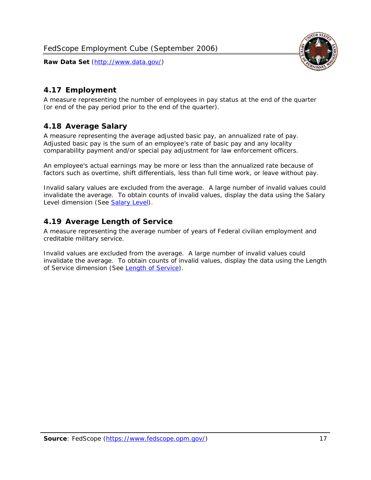

### <span id="page-17-0"></span>*4.17 Employment*

A measure representing the number of employees in pay status at the end of the quarter (or end of the pay period prior to the end of the quarter).

#### <span id="page-17-1"></span>*4.18 Average Salary*

A measure representing the average adjusted basic pay, an annualized rate of pay. Adjusted basic pay is the sum of an employee's rate of basic pay and any locality comparability payment and/or special pay adjustment for law enforcement officers.

An employee's actual earnings may be more or less than the annualized rate because of factors such as overtime, shift differentials, less than full time work, or leave without pay.

Invalid salary values are excluded from the average. A large number of invalid values could invalidate the average. To obtain counts of invalid values, display the data using the Salary Level dimension (See [Salary Level\)](#page-16-1).

#### <span id="page-17-2"></span>*4.19 Average Length of Service*

A measure representing the average number of years of Federal civilian employment and creditable military service.

Invalid values are excluded from the average. A large number of invalid values could invalidate the average. To obtain counts of invalid values, display the data using the Length of Service dimension (See [Length of Service](#page-15-6)).